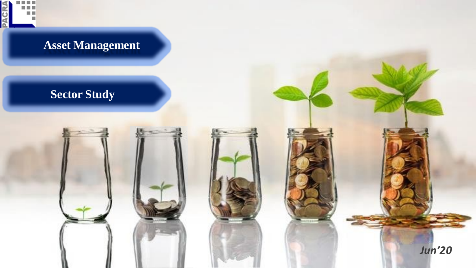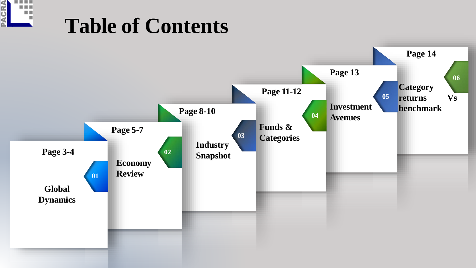

## **Table of Contents**

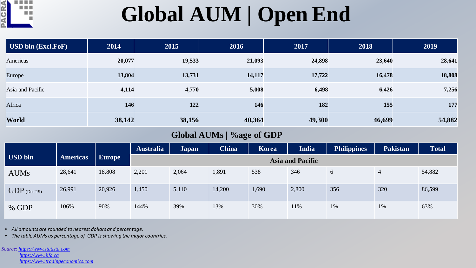

## **Global AUM | Open End**

| USD bln (Excl.FoF) | 2014   | 2015   | 2016   | 2017   | 2018   | 2019   |
|--------------------|--------|--------|--------|--------|--------|--------|
| Americas           | 20,077 | 19,533 | 21,093 | 24,898 | 23,640 | 28,641 |
| Europe             | 13,804 | 13,731 | 14,117 | 17,722 | 16,478 | 18,808 |
| Asia and Pacific   | 4,114  | 4,770  | 5,008  | 6,498  | 6,426  | 7,256  |
| Africa             | 146    | 122    | 146    | 182    | 155    | 177    |
| World              | 38,142 | 38,156 | 40,364 | 49,300 | 46,699 | 54,882 |

### **Global AUMs | %age of GDP**

|                |                 |               | <b>Australia</b> | <b>Japan</b>            | <b>China</b> | <b>Korea</b> | <b>India</b> | <b>Philippines</b> | <b>Pakistan</b> | <b>Total</b> |  |
|----------------|-----------------|---------------|------------------|-------------------------|--------------|--------------|--------------|--------------------|-----------------|--------------|--|
| <b>USD bln</b> | <b>Americas</b> | <b>Europe</b> |                  | <b>Asia and Pacific</b> |              |              |              |                    |                 |              |  |
| <b>AUMs</b>    | 28,641          | 18,808        | 2,201            | 2,064                   | 1,891        | 538          | 346          | 6                  | $\overline{4}$  | 54,882       |  |
| $GDP$ (Dec'19) | 26,991          | 20,926        | 1,450            | 5,110                   | 14,200       | 1,690        | 2,800        | 356                | 320             | 86,599       |  |
| % GDP          | 106%            | 90%           | 144%             | 39%                     | 13%          | 30%          | 11%          | 1%                 | 1%              | 63%          |  |

• *All amounts are rounded to nearest dollars and percentage.*

• *The table AUMs as percentage of GDP is showing the major countries.*

*Source*: *[https://www.statista.com](https://www.statista.com/)*

*[https://www.iifa.ca](https://www.iifa.ca/) [https://www.tradingeconomics.com](http://www.tradingeconomics.com/)*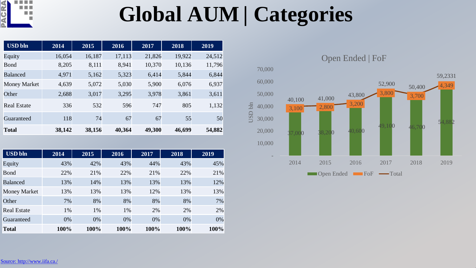

## **Global AUM | Categories**

| <b>USD</b> bln      | 2014   | 2015   | 2016   | 2017   | 2018   | 2019   |
|---------------------|--------|--------|--------|--------|--------|--------|
| Equity              | 16,054 | 16,187 | 17,113 | 21,826 | 19,922 | 24,512 |
| Bond                | 8,205  | 8,111  | 8,941  | 10,370 | 10,136 | 11,796 |
| <b>Balanced</b>     | 4,971  | 5,162  | 5,323  | 6,414  | 5,844  | 6,844  |
| <b>Money Market</b> | 4,639  | 5,072  | 5,030  | 5,900  | 6,076  | 6,937  |
| Other               | 2,688  | 3,017  | 3,295  | 3,978  | 3,861  | 3,611  |
| <b>Real Estate</b>  | 336    | 532    | 596    | 747    | 805    | 1,132  |
| Guaranteed          | 118    | 74     | 67     | 67     | 55     | 50     |
| <b>Total</b>        | 38,142 | 38,156 | 40,364 | 49,300 | 46,699 | 54,882 |

| <b>USD bln</b>      | 2014 | 2015 | 2016 | 2017 | 2018 | 2019 |
|---------------------|------|------|------|------|------|------|
| Equity              | 43%  | 42%  | 43%  | 44%  | 43%  | 45%  |
| <b>Bond</b>         | 22%  | 21%  | 22%  | 21%  | 22%  | 21%  |
| <b>Balanced</b>     | 13%  | 14%  | 13%  | 13%  | 13%  | 12%  |
| <b>Money Market</b> | 13%  | 13%  | 13%  | 12%  | 13%  | 13%  |
| Other               | 7%   | 8%   | 8%   | 8%   | 8%   | 7%   |
| <b>Real Estate</b>  | 1%   | 1%   | 1%   | 2%   | 2%   | 2%   |
| Guaranteed          | 0%   | 0%   | 0%   | 0%   | 0%   | 0%   |
| <b>Total</b>        | 100% | 100% | 100% | 100% | 100% | 100% |

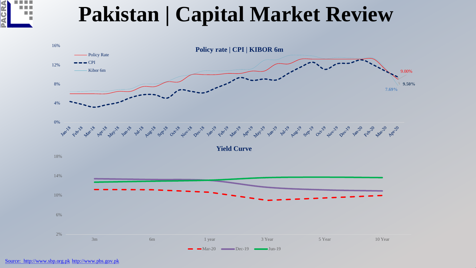

### **Pakistan | Capital Market Review**

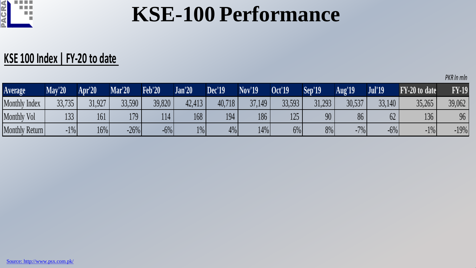

### **KSE-100 Performance**

### **KSE 100 Index | FY-20 to date**

| <b>Average</b>       | Mav'20 | Apr'20 | <b>Mar'20</b> | <b>Feb'20</b> | <b>Jan'20</b> | Dec'19 | <b>Nov'19</b> | <b>Oct'19</b> | Sep'19 | <b>Aug'19</b> | Jul'19 | FY-20 to date | <b>FY-19</b> |
|----------------------|--------|--------|---------------|---------------|---------------|--------|---------------|---------------|--------|---------------|--------|---------------|--------------|
| <b>Monthly Index</b> | 33,735 | 31,927 | 33,590        | 39,820        | 42,413        | 40,718 | 37,149        | 33,593        | 31,293 | 30,537        | 33,140 | 35,265        | 39,062       |
| <b>Monthly Vol</b>   | 133    | 161    | 179           | 114           | 168           | 194    | 186           | 125           | 90     | 86            |        | 136           | 96           |
| Monthly Return       | $-1\%$ | 16%    | $-26%$        | $-6%$         | $1\%$         | 4%     | 14%           | 6%            | 8%     | $-7%$         | $-6%$  | $-1\%$        | $-19%$       |

*PKR In mln*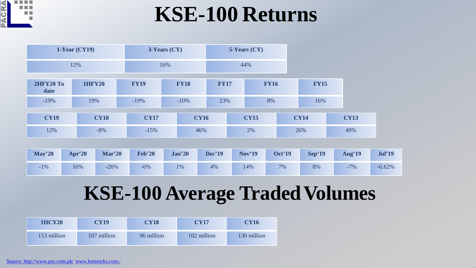

### **KSE-100 Returns**

|                          | $1$ -Year (CY19) | $3$ -Years $(CY)$ |             | $5$ -Years $(CY)$ |             |  |             |             |
|--------------------------|------------------|-------------------|-------------|-------------------|-------------|--|-------------|-------------|
|                          | 12%              |                   | 16%         |                   | 44%         |  |             |             |
| <b>2HFY20 To</b><br>date | <b>1HFY20</b>    | <b>FY19</b>       | <b>FY18</b> | <b>FY17</b>       | <b>FY16</b> |  | <b>FY15</b> |             |
| $-19%$                   | 19%              | $-19%$            | $-10\%$     | 23%               | 8%          |  | 16%         |             |
| <b>CY19</b>              | <b>CY18</b>      | <b>CY17</b>       | <b>CY16</b> |                   | <b>CY15</b> |  | <b>CY14</b> | <b>CY13</b> |
| 12%                      | $-8%$            | $-15%$            | 46%         |                   | 2%          |  | 26%         | 49%         |

| $\text{Mav}^220$ | $Apr^220$ | Mar'20 | <b>Feb'20</b> | <b>Jan'20</b> | <b>Dec'19</b> | <b>Nov'19</b> | <b>Oct'19</b> | Sep'19 | <b>Aug'19</b> | <b>Jul'19</b> |
|------------------|-----------|--------|---------------|---------------|---------------|---------------|---------------|--------|---------------|---------------|
| $-1\%$           | 16%       | $-26%$ | $-6%$         | 1%            | 4%            | 14%           | 7%            | 8%     | $-7%$         | $-6.62%$      |

### **KSE-100 Average Traded Volumes**

| <b>1HCY20</b> | <b>CY19</b> | <b>CY18</b> | <b>CY17</b> | <b>CY16</b> |
|---------------|-------------|-------------|-------------|-------------|
| 153 million   | 107 million | 96 million  | 102 million | 130 million |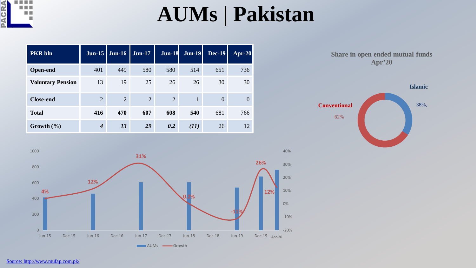

### **AUMs | Pakistan**

| <b>PKR</b> bln           | Jun-15 $\vert$              | $J$ un-16 | <b>Jun-17</b> | <b>Jun-18</b> | $Jun-19$ | $Dec-19$ | Apr-20         |
|--------------------------|-----------------------------|-----------|---------------|---------------|----------|----------|----------------|
| <b>Open-end</b>          | 401                         | 449       | 580           | 580           | 514      | 651      | 736            |
| <b>Voluntary Pension</b> | 13                          | 19        | 25            | 26            | 26       | 30       | 30             |
| <b>Close-end</b>         | $\overline{2}$              | 2         | 2             | 2             |          | $\theta$ | $\overline{0}$ |
| <b>Total</b>             | 416                         | 470       | 607           | 608           | 540      | 681      | 766            |
| Growth $(\% )$           | $\overline{\boldsymbol{4}}$ | 13        | 29            | 0.2           | (11)     | 26       | 12             |





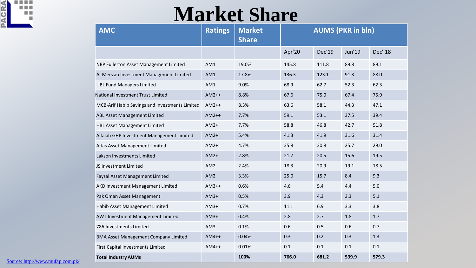

### **Market Share**

| <b>AMC</b>                                     | <b>Ratings</b>  | <b>Market</b><br><b>Share</b> | <b>AUMS (PKR in bln)</b> |        |        |         |  |
|------------------------------------------------|-----------------|-------------------------------|--------------------------|--------|--------|---------|--|
|                                                |                 |                               | Apr'20                   | Dec'19 | Jun'19 | Dec' 18 |  |
| NBP Fullerton Asset Management Limited         | AM1             | 19.0%                         | 145.8                    | 111.8  | 89.8   | 89.1    |  |
| Al-Meezan Investment Management Limited        | AM1             | 17.8%                         | 136.3                    | 123.1  | 91.3   | 88.0    |  |
| <b>UBL Fund Managers Limited</b>               | AM1             | 9.0%                          | 68.9                     | 62.7   | 52.3   | 62.3    |  |
| National Investment Trust Limited              | $AM2++$         | 8.8%                          | 67.6                     | 75.0   | 67.4   | 75.9    |  |
| MCB-Arif Habib Savings and Investments Limited | $AM2++$         | 8.3%                          | 63.6                     | 58.1   | 44.3   | 47.1    |  |
| ABL Asset Management Limited                   | $AM2++$         | 7.7%                          | 59.1                     | 53.1   | 37.5   | 39.4    |  |
| HBL Asset Management Limited                   | $AM2+$          | 7.7%                          | 58.8                     | 46.8   | 42.7   | 51.8    |  |
| Alfalah GHP Investment Management Limited      | $AM2+$          | 5.4%                          | 41.3                     | 41.9   | 31.6   | 31.4    |  |
| Atlas Asset Management Limited                 | $AM2+$          | 4.7%                          | 35.8                     | 30.8   | 25.7   | 29.0    |  |
| Lakson Investments Limited                     | $AM2+$          | 2.8%                          | 21.7                     | 20.5   | 15.6   | 19.5    |  |
| JS Investment Limited                          | AM <sub>2</sub> | 2.4%                          | 18.3                     | 20.9   | 19.1   | 18.5    |  |
| Faysal Asset Management Limited                | AM <sub>2</sub> | 3.3%                          | 25.0                     | 15.7   | 8.4    | 9.3     |  |
| AKD Investment Management Limited              | $AM3++$         | 0.6%                          | 4.6                      | 5.4    | 4.4    | 5.0     |  |
| Pak Oman Asset Management                      | $AM3+$          | 0.5%                          | 3.9                      | 4.3    | 3.3    | 5.1     |  |
| Habib Asset Management Limited                 | $AM3+$          | 0.7%                          | 11.1                     | 6.9    | 3.3    | 3.8     |  |
| AWT Investment Management Limited              | $AM3+$          | 0.4%                          | 2.8                      | 2.7    | 1.8    | 1.7     |  |
| 786 Investments Limited                        | AM3             | 0.1%                          | 0.6                      | 0.5    | 0.6    | 0.7     |  |
| <b>BMA Asset Management Company Limited</b>    | $AM4++$         | 0.04%                         | 0.3                      | 0.2    | 0.3    | 1.3     |  |
| First Capital Investments Limited              | $AM4++$         | 0.01%                         | 0.1                      | 0.1    | 0.1    | 0.1     |  |
| <b>Total Industry AUMs</b>                     |                 | 100%                          | 766.0                    | 681.2  | 539.9  | 579.3   |  |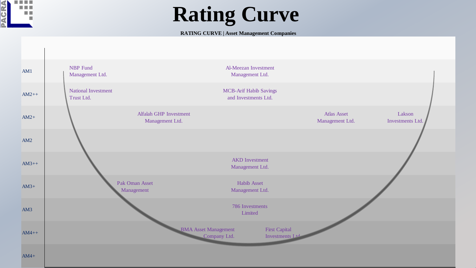

### **Rating Curve**

#### **RATING CURVE | Asset Management Companies**

| AM1     | NBP Fund<br>Management Ltd.                      | Al-Meezan Investment<br>Management Ltd.                                                |                                       |                            |
|---------|--------------------------------------------------|----------------------------------------------------------------------------------------|---------------------------------------|----------------------------|
| $AM2++$ | <b>National Investment</b><br>Trust Ltd.         | <b>MCB-Arif Habib Savings</b><br>and Investments Ltd.                                  |                                       |                            |
| $AM2+$  | <b>Alfalah GHP Investment</b><br>Management Ltd. |                                                                                        | <b>Atlas Asset</b><br>Management Ltd. | Lakson<br>Investments Ltd. |
| AM2     |                                                  |                                                                                        |                                       |                            |
| $AM3++$ |                                                  | <b>AKD</b> Investment<br>Management Ltd.                                               |                                       |                            |
| $AM3+$  | Pak Oman Asset<br>Management                     | <b>Habib Asset</b><br>Management Ltd.                                                  |                                       |                            |
| AM3     |                                                  | 786 Investments<br>Limited                                                             |                                       |                            |
| $AM4++$ |                                                  | <b>BMA</b> Asset Management<br><b>First Capital</b><br>Company Ltd.<br>Investments Ltd |                                       |                            |
| $AM4+$  |                                                  |                                                                                        |                                       |                            |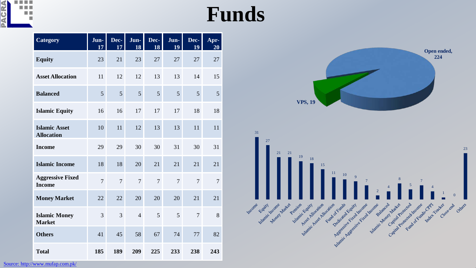

## **Funds**

31

Income Equity

ic theome water Pens

Hamilton Asset Alexander Capital

Allocation Estates Every Dedicated Early President

Yellow Asset Allows

Retignation

Halance Money Mar

| <b>Category</b>                           | Jun-<br>17     | Dec-<br>17     | Jun-<br>18     | Dec-<br>18     | Jun-<br>19     | Dec-<br>19     | Apr-<br>20 |
|-------------------------------------------|----------------|----------------|----------------|----------------|----------------|----------------|------------|
| <b>Equity</b>                             | 23             | 21             | 23             | 27             | 27             | 27             | 27         |
| <b>Asset Allocation</b>                   | 11             | 12             | 12             | 13             | 13             | 14             | 15         |
| <b>Balanced</b>                           | 5              | 5              | 5              | 5              | 5              | 5              | 5          |
| <b>Islamic Equity</b>                     | 16             | 16             | 17             | 17             | 17             | 18             | 18         |
| <b>Islamic Asset</b><br><b>Allocation</b> | 10             | 11             | 12             | 13             | 13             | 11             | 11         |
| <b>Income</b>                             | 29             | 29             | 30             | 30             | 31             | 30             | 31         |
| <b>Islamic Income</b>                     | 18             | 18             | 20             | 21             | 21             | 21             | 21         |
| <b>Aggressive Fixed</b><br><b>Income</b>  | $\overline{7}$ | $\overline{7}$ | $\overline{7}$ | $\overline{7}$ | $\overline{7}$ | $\overline{7}$ | 7          |
| <b>Money Market</b>                       | 22             | 22             | 20             | 20             | 20             | 21             | 21         |
| <b>Islamic Money</b><br><b>Market</b>     | $\overline{3}$ | 3              | $\overline{4}$ | 5              | 5              | $\overline{7}$ | 8          |
| <b>Others</b>                             | 41             | 45             | 58             | 67             | 74             | 77             | 82         |
| <b>Total</b>                              | 185            | 189            | 209            | 225            | 233            | 238            | 243        |



Islandic Assessment Reliability of the Medicine Processing Contraction of the Medicine Processing

Close onb Others

Capital Proceed of Funds

anced Market Care of

telamic Money Martin Proces

Protected According Charles

ime value tradeer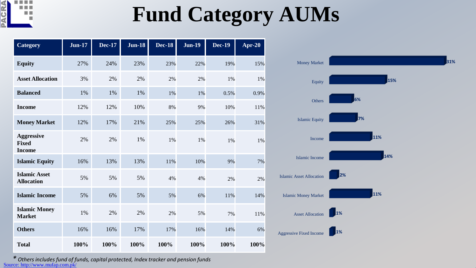

## **Fund Category AUMs**

| <b>Category</b>                                    | <b>Jun-17</b> | <b>Dec-17</b> | <b>Jun-18</b> | <b>Dec-18</b> | <b>Jun-19</b> | <b>Dec-19</b> | Apr-20 |
|----------------------------------------------------|---------------|---------------|---------------|---------------|---------------|---------------|--------|
| <b>Equity</b>                                      | 27%           | 24%           | 23%           | 23%           | 22%           | 19%           | 15%    |
| <b>Asset Allocation</b>                            | 3%            | 2%            | 2%            | 2%            | 2%            | 1%            | 1%     |
| <b>Balanced</b>                                    | 1%            | 1%            | 1%            | 1%            | 1%            | 0.5%          | 0.9%   |
| <b>Income</b>                                      | 12%           | 12%           | 10%           | 8%            | 9%            | 10%           | 11%    |
| <b>Money Market</b>                                | 12%           | 17%           | 21%           | 25%           | 25%           | 26%           | 31%    |
| <b>Aggressive</b><br><b>Fixed</b><br><b>Income</b> | 2%            | 2%            | 1%            | 1%            | 1%            | 1%            | 1%     |
| <b>Islamic Equity</b>                              | 16%           | 13%           | 13%           | 11%           | 10%           | 9%            | 7%     |
| <b>Islamic Asset</b><br><b>Allocation</b>          | 5%            | 5%            | 5%            | 4%            | 4%            | 2%            | 2%     |
| <b>Islamic Income</b>                              | 5%            | 6%            | 5%            | 5%            | 6%            | 11%           | 14%    |
| <b>Islamic Money</b><br><b>Market</b>              | $1\%$         | 2%            | 2%            | 2%            | 5%            | 7%            | 11%    |
| <b>Others</b>                                      | 16%           | 16%           | 17%           | 17%           | 16%           | 14%           | 6%     |
| <b>Total</b>                                       | 100%          | 100%          | 100%          | 100%          | 100%          | 100%          | 100%   |



*\* Others includes fund of funds, capital protected, Index tracker and pension funds* [Source: http://www.mufap.com.pk/](http://www.mufap.com.pk/)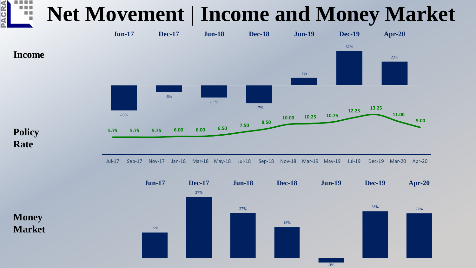#### a a s **Net Movement | Income and Money Market** 明



**Money Market**

CRA



-3%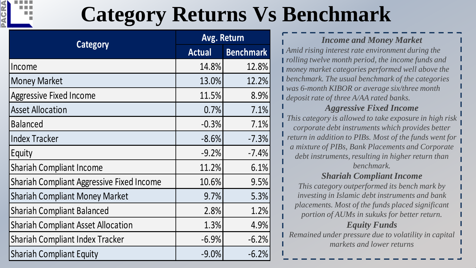

## **Category Returns Vs Benchmark**

|                                                  | Avg. Return   |                  |  |
|--------------------------------------------------|---------------|------------------|--|
| <b>Category</b>                                  | <b>Actual</b> | <b>Benchmark</b> |  |
| Income                                           | 14.8%         | 12.8%            |  |
| <b>Money Market</b>                              | 13.0%         | 12.2%            |  |
| <b>Aggressive Fixed Income</b>                   | 11.5%         | 8.9%             |  |
| <b>Asset Allocation</b>                          | 0.7%          | 7.1%             |  |
| <b>Balanced</b>                                  | $-0.3%$       | 7.1%             |  |
| <b>Index Tracker</b>                             | $-8.6%$       | $-7.3%$          |  |
| Equity                                           | $-9.2%$       | $-7.4%$          |  |
| <b>Shariah Compliant Income</b>                  | 11.2%         | 6.1%             |  |
| <b>Shariah Compliant Aggressive Fixed Income</b> | 10.6%         | 9.5%             |  |
| <b>Shariah Compliant Money Market</b>            | 9.7%          | 5.3%             |  |
| <b>Shariah Compliant Balanced</b>                | 2.8%          | 1.2%             |  |
| <b>Shariah Compliant Asset Allocation</b>        | 1.3%          | 4.9%             |  |
| <b>Shariah Compliant Index Tracker</b>           | $-6.9%$       | $-6.2%$          |  |
| <b>Shariah Compliant Equity</b>                  | $-9.0%$       | $-6.2%$          |  |

### *Income and Money Market*

*Amid rising interest rate environment during the rolling twelve month period, the income funds and money market categories performed well above the benchmark. The usual benchmark of the categories was 6-month KIBOR or average six/three month deposit rate of three A/AA rated banks.* 

### *Aggressive Fixed Income*

*This category is allowed to take exposure in high risk corporate debt instruments which provides better return in addition to PIBs. Most of the funds went for a mixture of PIBs, Bank Placements and Corporate debt instruments, resulting in higher return than benchmark.*

### *Shariah Compliant Income*

*This category outperformed its bench mark by investing in Islamic debt instruments and bank placements. Most of the funds placed significant portion of AUMs in sukuks for better return.*

### *Equity Funds*

*Remained under pressure due to volatility in capital markets and lower returns*